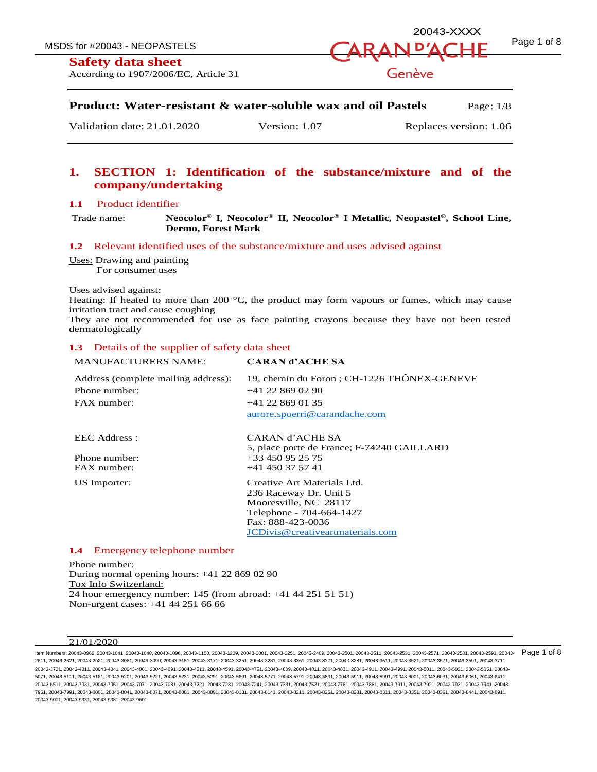

| <b>Product: Water-resistant &amp; water-soluble wax and oil Pastels</b> | Page: $1/8$ |
|-------------------------------------------------------------------------|-------------|
|-------------------------------------------------------------------------|-------------|

Validation date: 21.01.2020 Version: 1.07 Replaces version: 1.06

# **1. SECTION 1: Identification of the substance/mixture and of the company/undertaking**

## **1.1** Product identifier

 $Trade name:$ **I, Neocolor® II, Neocolor® I Metallic, Neopastel® , School Line, Dermo, Forest Mark**

**1.2** Relevant identified uses of the substance/mixture and uses advised against

Uses: Drawing and painting For consumer uses

#### Uses advised against:

Heating: If heated to more than 200  $^{\circ}$ C, the product may form vapours or fumes, which may cause irritation tract and cause coughing

They are not recommended for use as face painting crayons because they have not been tested dermatologically

### **1.3** Details of the supplier of safety data sheet

# MANUFACTURERS NAME: **CARAN d'ACHE SA** Address (complete mailing address): 19, chemin du Foron ; CH-1226 THÔNEX-GENEVE Phone number:  $+41\,22\,869\,02\,90$ FAX number: +41 22 869 01 35 aurore.spoerri@carandache.com EEC Address : CARAN d'ACHE SA 5, place porte de France; F-74240 GAILLARD Phone number:  $+33\,450\,95\,25\,75$ FAX number: +41 450 37 57 41 US Importer: Creative Art Materials Ltd. 236 Raceway Dr. Unit 5 Mooresville, NC 28117 Telephone - 704-664-1427 Fax: 888-423-0036 JCDivis@creativeartmaterials.com

## **1.4** Emergency telephone number

Phone number: During normal opening hours: +41 22 869 02 90 Tox Info Switzerland: 24 hour emergency number: 145 (from abroad: +41 44 251 51 51) Non-urgent cases: +41 44 251 66 66

#### $21/01/2020$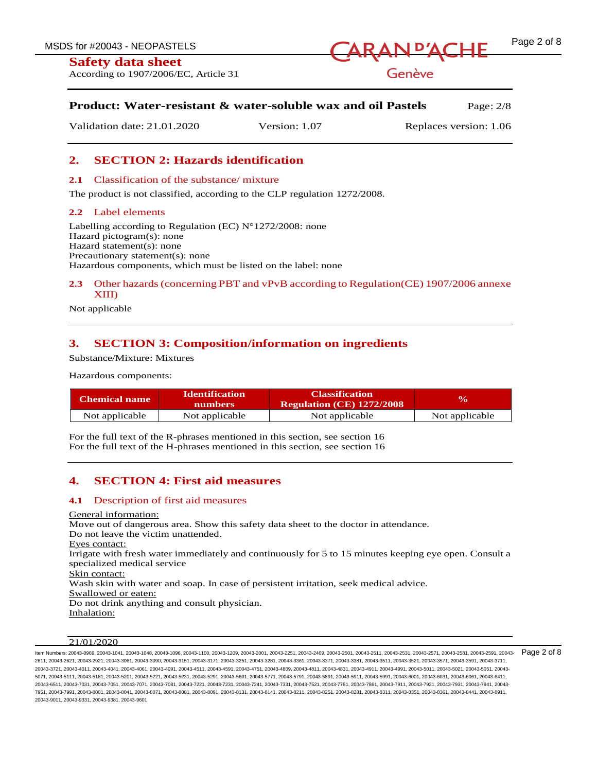# **Safety data sheet**

According to 1907/2006/EC, Article 31



Genève

| <b>Product: Water-resistant &amp; water-soluble wax and oil Pastels</b> | Page: $2/8$ |
|-------------------------------------------------------------------------|-------------|
|                                                                         |             |

Validation date: 21.01.2020 Version: 1.07 Replaces version: 1.06

# **2. SECTION 2: Hazards identification**

## **2.1** Classification of the substance/ mixture

The product is not classified, according to the CLP regulation 1272/2008.

## **2.2** Label elements

Labelling according to Regulation (EC)  $N^{\circ}1272/2008$ : none Hazard pictogram(s): none Hazard statement(s): none Precautionary statement(s): none Hazardous components, which must be listed on the label: none

## **2.3** Other hazards (concerning PBT and vPvB according to Regulation(CE) 1907/2006 annexe XIII)

Not applicable

# **3. SECTION 3: Composition/information on ingredients**

Substance/Mixture: Mixtures

Hazardous components:

| <b>Chemical name</b> | <b>Identification</b><br><b>numbers</b> | <b>Classification</b><br><b>Regulation (CE) 1272/2008</b> | $\mathbf{v}_0$ |
|----------------------|-----------------------------------------|-----------------------------------------------------------|----------------|
| Not applicable       | Not applicable                          | Not applicable                                            | Not applicable |

For the full text of the R-phrases mentioned in this section, see section 16 For the full text of the H-phrases mentioned in this section, see section 16

# **4. SECTION 4: First aid measures**

## **4.1** Description of first aid measures

General information: Move out of dangerous area. Show this safety data sheet to the doctor in attendance. Do not leave the victim unattended. Eyes contact: Irrigate with fresh water immediately and continuously for 5 to 15 minutes keeping eye open. Consult a specialized medical service Skin contact: Wash skin with water and soap. In case of persistent irritation, seek medical advice. Swallowed or eaten: Do not drink anything and consult physician. Inhalation:

## 21/01/2020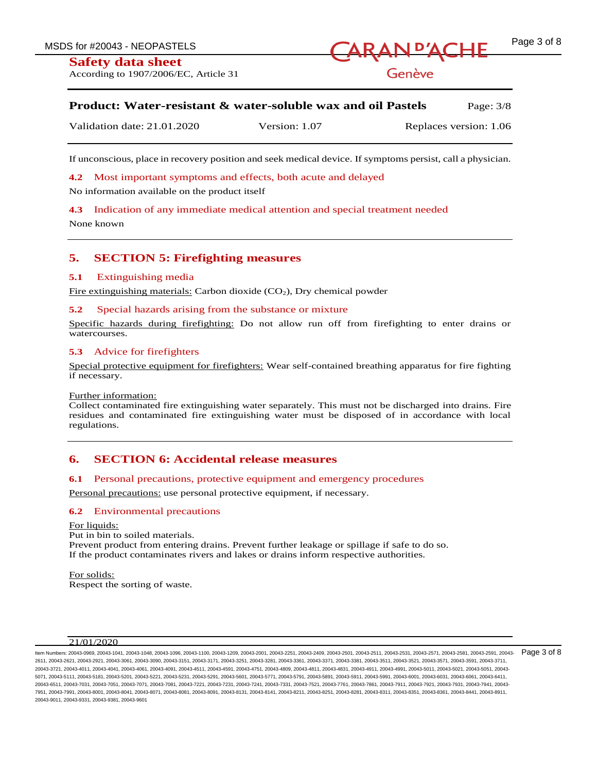## **Safety data sheet** According to 1907/2006/EC, Article 31



# Genève

| <b>Product: Water-resistant &amp; water-soluble wax and oil Pastels</b> |               | Page: $3/8$            |
|-------------------------------------------------------------------------|---------------|------------------------|
| Validation date: 21.01.2020                                             | Version: 1.07 | Replaces version: 1.06 |

If unconscious, place in recovery position and seek medical device. If symptoms persist, call a physician.

**4.2** Most important symptoms and effects, both acute and delayed

No information available on the product itself

**4.3** Indication of any immediate medical attention and special treatment needed

None known

## **5. SECTION 5: Firefighting measures**

#### **5.1** Extinguishing media

Fire extinguishing materials: Carbon dioxide  $(CO<sub>2</sub>)$ , Dry chemical powder

#### **5.2** Special hazards arising from the substance or mixture

Specific hazards during firefighting: Do not allow run off from firefighting to enter drains or watercourses.

#### **5.3** Advice for firefighters

Special protective equipment for firefighters: Wear self-contained breathing apparatus for fire fighting if necessary.

#### Further information:

Collect contaminated fire extinguishing water separately. This must not be discharged into drains. Fire residues and contaminated fire extinguishing water must be disposed of in accordance with local regulations.

## **6. SECTION 6: Accidental release measures**

#### **6.1** Personal precautions, protective equipment and emergency procedures

Personal precautions: use personal protective equipment, if necessary.

## **6.2** Environmental precautions

For liquids: Put in bin to soiled materials. Prevent product from entering drains. Prevent further leakage or spillage if safe to do so. If the product contaminates rivers and lakes or drains inform respective authorities.

For solids: Respect the sorting of waste.

## 21/01/2020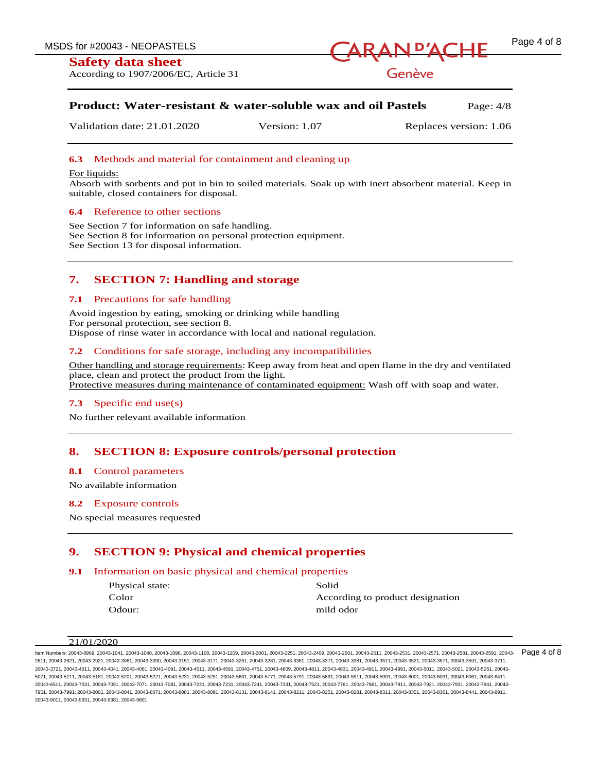

| <b>Product: Water-resistant &amp; water-soluble wax and oil Pastels</b> | Page: $4/8$ |
|-------------------------------------------------------------------------|-------------|
|-------------------------------------------------------------------------|-------------|

| Validation date: 21.01.2020<br>Version: 1.07 | Replaces version: 1.06 |
|----------------------------------------------|------------------------|
|----------------------------------------------|------------------------|

## **6.3** Methods and material for containment and cleaning up

#### For liquids:

Absorb with sorbents and put in bin to soiled materials. Soak up with inert absorbent material. Keep in suitable, closed containers for disposal.

#### **6.4** Reference to other sections

See Section 7 for information on safe handling. See Section 8 for information on personal protection equipment. See Section 13 for disposal information.

# **7. SECTION 7: Handling and storage**

### **7.1** Precautions for safe handling

Avoid ingestion by eating, smoking or drinking while handling For personal protection, see section 8. Dispose of rinse water in accordance with local and national regulation.

## **7.2** Conditions for safe storage, including any incompatibilities

Other handling and storage requirements: Keep away from heat and open flame in the dry and ventilated place, clean and protect the product from the light. Protective measures during maintenance of contaminated equipment: Wash off with soap and water.

## **7.3** Specific end use(s)

No further relevant available information

## **8. SECTION 8: Exposure controls/personal protection**

#### **8.1** Control parameters

No available information

#### **8.2** Exposure controls

No special measures requested

## **9. SECTION 9: Physical and chemical properties**

#### **9.1** Information on basic physical and chemical properties

| Physical state: | Solid                            |
|-----------------|----------------------------------|
| Color           | According to product designation |
| Odour:          | mild odor                        |

#### 21/01/2020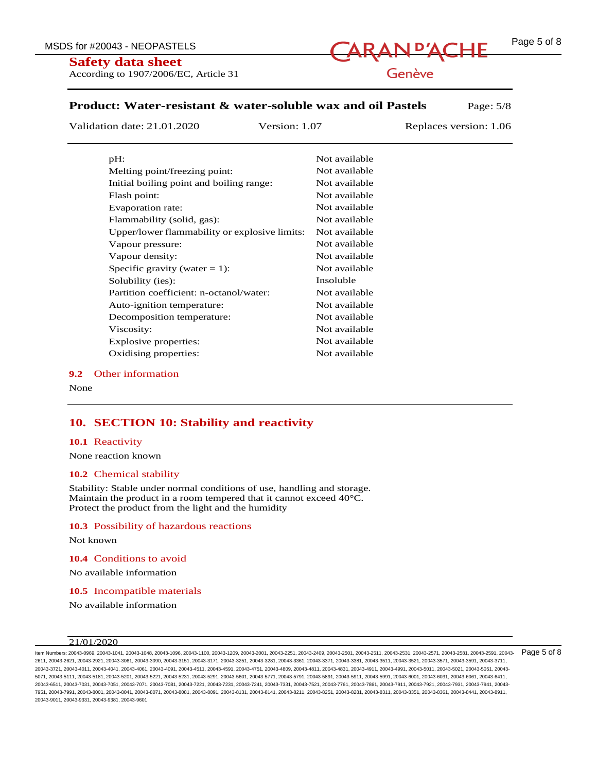## **Safety data sheet** According to 1907/2006/EC, Article 31



Genève

## **Product: Water-resistant & water-soluble wax and oil Pastels** Page: 5/8

Validation date: 21.01.2020 Version: 1.07 Replaces version: 1.06

| pH:                                           | Not available |
|-----------------------------------------------|---------------|
| Melting point/freezing point:                 | Not available |
| Initial boiling point and boiling range:      | Not available |
| Flash point:                                  | Not available |
| Evaporation rate:                             | Not available |
| Flammability (solid, gas):                    | Not available |
| Upper/lower flammability or explosive limits: | Not available |
| Vapour pressure:                              | Not available |
| Vapour density:                               | Not available |
| Specific gravity (water $= 1$ ):              | Not available |
| Solubility (ies):                             | Insoluble     |
| Partition coefficient: n-octanol/water:       | Not available |
| Auto-ignition temperature:                    | Not available |
| Decomposition temperature:                    | Not available |
| Viscosity:                                    | Not available |
| Explosive properties:                         | Not available |
| Oxidising properties:                         | Not available |

## **9.2** Other information

None

## **10. SECTION 10: Stability and reactivity**

#### **10.1** Reactivity

None reaction known

#### **10.2** Chemical stability

Stability: Stable under normal conditions of use, handling and storage. Maintain the product in a room tempered that it cannot exceed 40°C. Protect the product from the light and the humidity

#### **10.3** Possibility of hazardous reactions

Not known

**10.4** Conditions to avoid

No available information

**10.5** Incompatible materials

No available information

#### 21/01/2020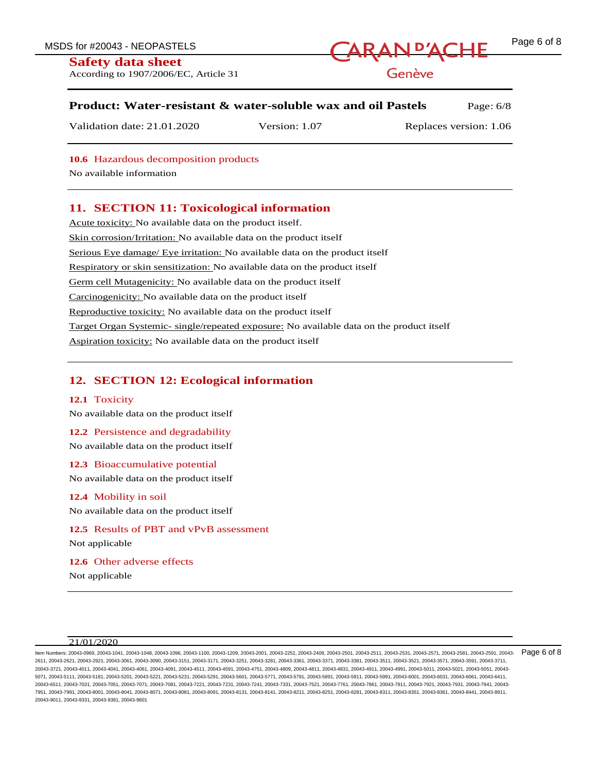## **Safety data sheet** According to 1907/2006/EC, Article 31

MSDS for #20043 - NEOPASTELS<br>
CARAN <sup>D'</sup>ACHE Page 6 of 8

Genève

| <b>Product: Water-resistant &amp; water-soluble wax and oil Pastels</b> |               | Page: $6/8$ |                        |  |
|-------------------------------------------------------------------------|---------------|-------------|------------------------|--|
| Validation date: 21.01.2020                                             | Version: 1.07 |             | Replaces version: 1.06 |  |

**10.6** Hazardous decomposition products

No available information

# **11. SECTION 11: Toxicological information**

Acute toxicity: No available data on the product itself. Skin corrosion/Irritation: No available data on the product itself Serious Eye damage/ Eye irritation: No available data on the product itself Respiratory or skin sensitization: No available data on the product itself Germ cell Mutagenicity: No available data on the product itself Carcinogenicity: No available data on the product itself Reproductive toxicity: No available data on the product itself Target Organ Systemic- single/repeated exposure: No available data on the product itself Aspiration toxicity: No available data on the product itself

# **12. SECTION 12: Ecological information**

## **12.1** Toxicity

No available data on the product itself

## **12.2** Persistence and degradability

No available data on the product itself

**12.3** Bioaccumulative potential

No available data on the product itself

## **12.4** Mobility in soil

No available data on the product itself

## **12.5** Results of PBT and vPvB assessment Not applicable

**12.6** Other adverse effects

Not applicable

## $21/01/2020$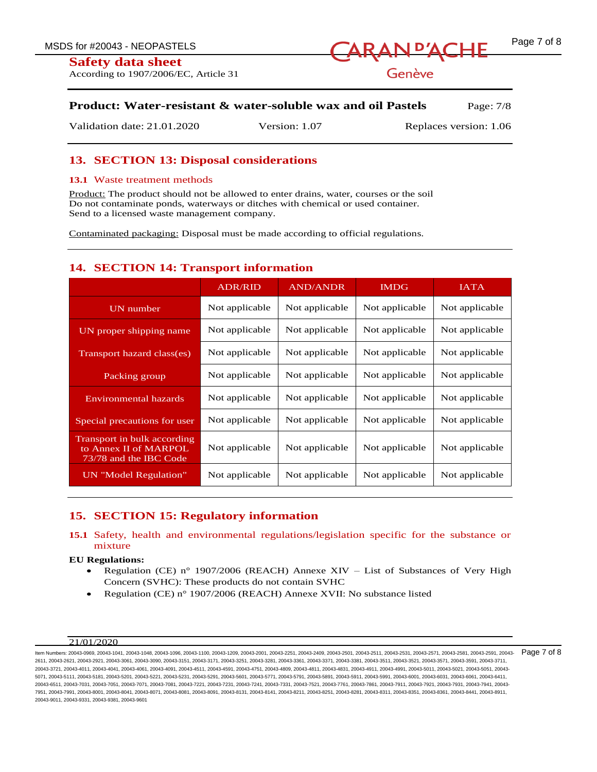

| Validation date: 21.01.2020 | Version: 1.07 | Replaces version: 1.06 |
|-----------------------------|---------------|------------------------|
|-----------------------------|---------------|------------------------|

# **13. SECTION 13: Disposal considerations**

## **13.1** Waste treatment methods

Product: The product should not be allowed to enter drains, water, courses or the soil Do not contaminate ponds, waterways or ditches with chemical or used container. Send to a licensed waste management company.

Contaminated packaging: Disposal must be made according to official regulations.

# **14. SECTION 14: Transport information**

|                                                                                | <b>ADR/RID</b> | <b>AND/ANDR</b> | <b>IMDG</b>    | <b>IATA</b>    |
|--------------------------------------------------------------------------------|----------------|-----------------|----------------|----------------|
| UN number                                                                      | Not applicable | Not applicable  | Not applicable | Not applicable |
| UN proper shipping name                                                        | Not applicable | Not applicable  | Not applicable | Not applicable |
| Transport hazard class(es)                                                     | Not applicable | Not applicable  | Not applicable | Not applicable |
| Packing group                                                                  | Not applicable | Not applicable  | Not applicable | Not applicable |
| Environmental hazards                                                          | Not applicable | Not applicable  | Not applicable | Not applicable |
| Special precautions for user                                                   | Not applicable | Not applicable  | Not applicable | Not applicable |
| Transport in bulk according<br>to Annex II of MARPOL<br>73/78 and the IBC Code | Not applicable | Not applicable  | Not applicable | Not applicable |
| UN "Model Regulation"                                                          | Not applicable | Not applicable  | Not applicable | Not applicable |

# **15. SECTION 15: Regulatory information**

## **15.1** Safety, health and environmental regulations/legislation specific for the substance or mixture

## **EU Regulations:**

- Regulation (CE) n° 1907/2006 (REACH) Annexe XIV List of Substances of Very High Concern (SVHC): These products do not contain SVHC
- Regulation (CE) n° 1907/2006 (REACH) Annexe XVII: No substance listed

## 21/01/2020